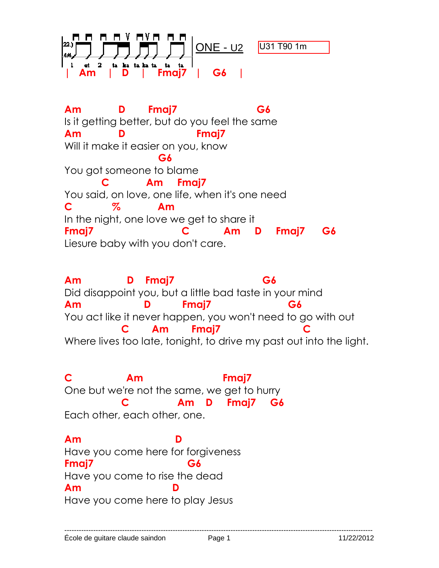

**Am D Fmaj7 G6**  Is it getting better, but do you feel the same **Am D Fmaj7**  Will it make it easier on you, know **G6 G6** You got someone to blame  **C Am Fmaj7**  You said, on love, one life, when it's one need **C % Am**  In the night, one love we get to share it **Fmaj7 C Am D Fmaj7 G6**  Liesure baby with you don't care.

**Am D Fmaj7 G6**  Did disappoint you, but a little bad taste in your mind **Am D Fmaj7 G6**  You act like it never happen, you won't need to go with out Am Fmai7 Where lives too late, tonight, to drive my past out into the light.

**C Am Fmaj7**  One but we're not the same, we get to hurry  **C Am D Fmaj7 G6**  Each other, each other, one.

**Am D**  Have you come here for forgiveness **Fmaj7 G6**  Have you come to rise the dead Am Have you come here to play Jesus